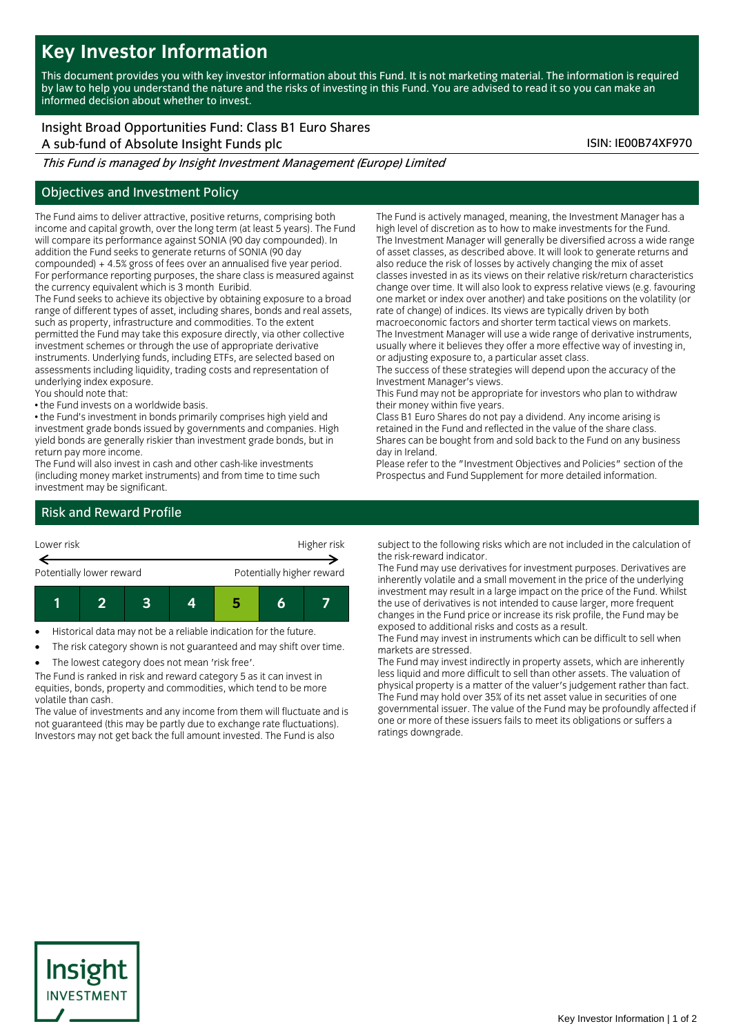# **Key Investor Information**

This document provides you with key investor information about this Fund. It is not marketing material. The information is required by law to help you understand the nature and the risks of investing in this Fund. You are advised to read it so you can make an informed decision about whether to invest.

Insight Broad Opportunities Fund: Class B1 Euro Shares A sub-fund of Absolute Insight Funds plc ISIN: IE00B74XF970

This Fund is managed by Insight Investment Management (Europe) Limited

## Objectives and Investment Policy

The Fund aims to deliver attractive, positive returns, comprising both income and capital growth, over the long term (at least 5 years). The Fund will compare its performance against SONIA (90 day compounded). In addition the Fund seeks to generate returns of SONIA (90 day compounded) + 4.5% gross of fees over an annualised five year period. For performance reporting purposes, the share class is measured against the currency equivalent which is 3 month Euribid.

The Fund seeks to achieve its objective by obtaining exposure to a broad range of different types of asset, including shares, bonds and real assets, such as property, infrastructure and commodities. To the extent permitted the Fund may take this exposure directly, via other collective investment schemes or through the use of appropriate derivative instruments. Underlying funds, including ETFs, are selected based on assessments including liquidity, trading costs and representation of underlying index exposure.

You should note that:

• the Fund invests on a worldwide basis.

• the Fund's investment in bonds primarily comprises high yield and investment grade bonds issued by governments and companies. High yield bonds are generally riskier than investment grade bonds, but in return pay more income.

The Fund will also invest in cash and other cash-like investments (including money market instruments) and from time to time such investment may be significant.

The Fund is actively managed, meaning, the Investment Manager has a high level of discretion as to how to make investments for the Fund. The Investment Manager will generally be diversified across a wide range of asset classes, as described above. It will look to generate returns and also reduce the risk of losses by actively changing the mix of asset classes invested in as its views on their relative risk/return characteristics change over time. It will also look to express relative views (e.g. favouring one market or index over another) and take positions on the volatility (or rate of change) of indices. Its views are typically driven by both macroeconomic factors and shorter term tactical views on markets. The Investment Manager will use a wide range of derivative instruments, usually where it believes they offer a more effective way of investing in,

or adjusting exposure to, a particular asset class. The success of these strategies will depend upon the accuracy of the Investment Manager's views.

This Fund may not be appropriate for investors who plan to withdraw their money within five years.

Class B1 Euro Shares do not pay a dividend. Any income arising is retained in the Fund and reflected in the value of the share class. Shares can be bought from and sold back to the Fund on any business day in Ireland.

Please refer to the "Investment Objectives and Policies" section of the Prospectus and Fund Supplement for more detailed information.

## Risk and Reward Profile



Historical data may not be a reliable indication for the future.

The risk category shown is not guaranteed and may shift over time.

The lowest category does not mean 'risk free'.

The Fund is ranked in risk and reward category 5 as it can invest in equities, bonds, property and commodities, which tend to be more volatile than cash.

The value of investments and any income from them will fluctuate and is not guaranteed (this may be partly due to exchange rate fluctuations). Investors may not get back the full amount invested. The Fund is also

subject to the following risks which are not included in the calculation of the risk-reward indicator.

The Fund may use derivatives for investment purposes. Derivatives are inherently volatile and a small movement in the price of the underlying investment may result in a large impact on the price of the Fund. Whilst the use of derivatives is not intended to cause larger, more frequent changes in the Fund price or increase its risk profile, the Fund may be exposed to additional risks and costs as a result.

The Fund may invest in instruments which can be difficult to sell when markets are stressed.

The Fund may invest indirectly in property assets, which are inherently less liquid and more difficult to sell than other assets. The valuation of physical property is a matter of the valuer's judgement rather than fact. The Fund may hold over 35% of its net asset value in securities of one governmental issuer. The value of the Fund may be profoundly affected if one or more of these issuers fails to meet its obligations or suffers a ratings downgrade.